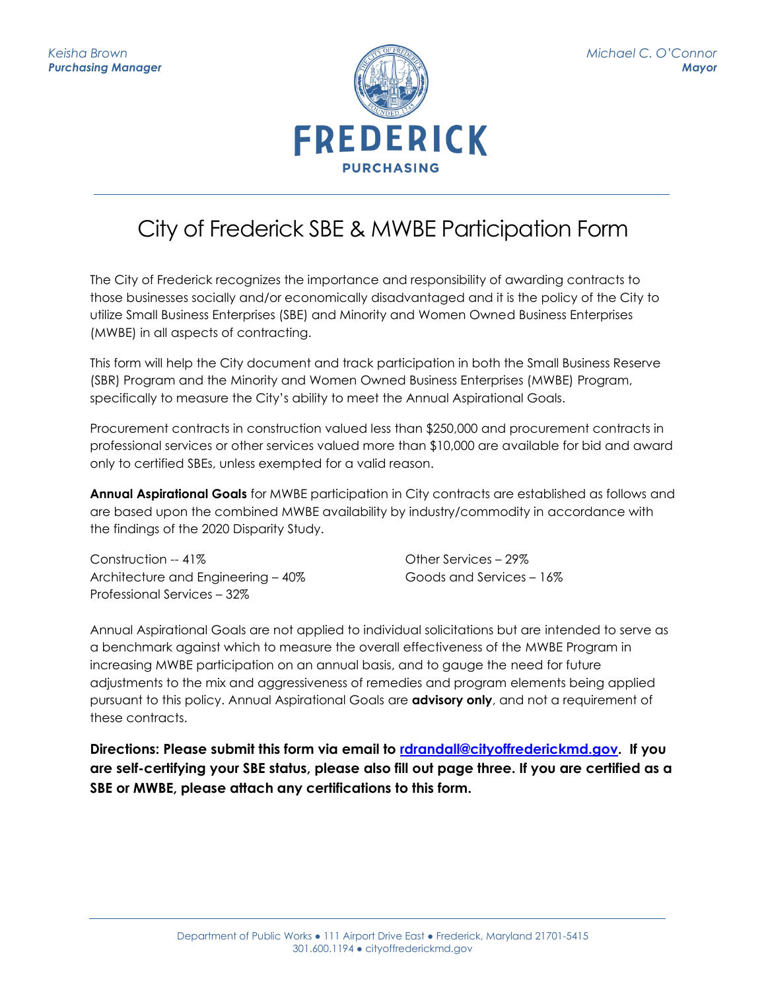

## City of Frederick SBE & MWBE Participation Form

The City of Frederick recognizes the importance and responsibility of awarding contracts to those businesses socially and/or economically disadvantaged and it is the policy of the City to utilize Small Business Enterprises (SBE) and Minority and Women Owned Business Enterprises (MWBE) in all aspects of contracting.

This form will help the City document and track participation in both the Small Business Reserve (SBR) Program and the Minority and Women Owned Business Enterprises (MWBE) Program, specifically to measure the City's ability to meet the Annual Aspirational Goals.

Procurement contracts in construction valued less than \$250,000 and procurement contracts in professional services or other services valued more than \$10,000 are available for bid and award only to certified SBEs, unless exempted for a valid reason.

**Annual Aspirational Goals** for MWBE participation in City contracts are established as follows and are based upon the combined MWBE availability by industry/commodity in accordance with the findings of the 2020 Disparity Study.

Construction -- 41% Architecture and Engineering – 40% Professional Services – 32%

Other Services – 29% Goods and Services – 16%

Annual Aspirational Goals are not applied to individual solicitations but are intended to serve as a benchmark against which to measure the overall effectiveness of the MWBE Program in increasing MWBE participation on an annual basis, and to gauge the need for future adjustments to the mix and aggressiveness of remedies and program elements being applied pursuant to this policy. Annual Aspirational Goals are **advisory only**, and not a requirement of these contracts.

**Directions: Please submit this form via email to [rdrandall@cityoffrederickmd.gov.](mailto:rdrandall@cityoffrederickmd.gov) If you are self-certifying your SBE status, please also fill out page three. If you are certified as a SBE or MWBE, please attach any certifications to this form.**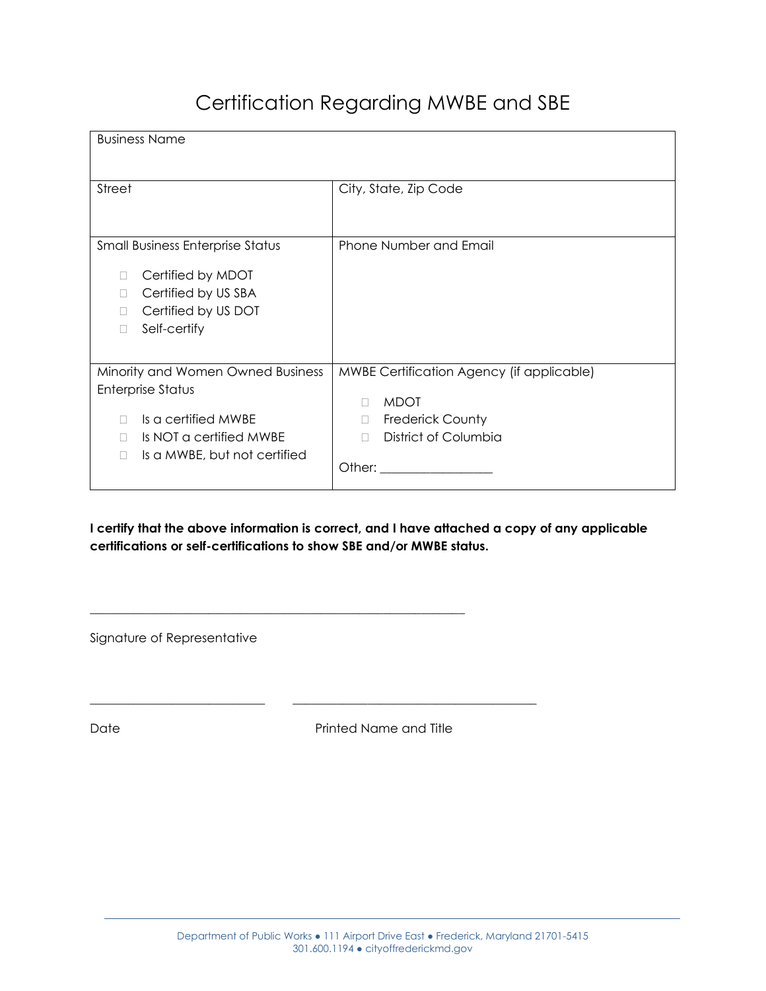## Certification Regarding MWBE and SBE

| <b>Business Name</b>                                                                                                                                     |                                                                                                                                            |
|----------------------------------------------------------------------------------------------------------------------------------------------------------|--------------------------------------------------------------------------------------------------------------------------------------------|
| Street                                                                                                                                                   | City, State, Zip Code                                                                                                                      |
| <b>Small Business Enterprise Status</b><br>Certified by MDOT<br>Certified by US SBA<br>Certified by US DOT<br>Self-certify<br>Н                          | Phone Number and Email                                                                                                                     |
| Minority and Women Owned Business<br>Enterprise Status<br>Is a certified MWBE<br>Is NOT a certified MWBE<br>Is a MWBE, but not certified<br>$\mathbf{I}$ | MWBE Certification Agency (if applicable)<br><b>MDOT</b><br>$\Box$<br><b>Frederick County</b><br>П.<br>District of Columbia<br>П<br>Other: |

**I certify that the above information is correct, and I have attached a copy of any applicable certifications or self-certifications to show SBE and/or MWBE status.** 

\_\_\_\_\_\_\_\_\_\_\_\_\_\_\_\_\_\_\_\_\_\_\_\_\_\_\_\_\_\_\_\_\_\_\_\_\_\_\_\_\_\_\_\_\_\_\_\_\_\_\_\_\_\_\_\_\_\_\_\_

\_\_\_\_\_\_\_\_\_\_\_\_\_\_\_\_\_\_\_\_\_\_\_\_\_\_\_\_ \_\_\_\_\_\_\_\_\_\_\_\_\_\_\_\_\_\_\_\_\_\_\_\_\_\_\_\_\_\_\_\_\_\_\_\_\_\_\_

Signature of Representative

Date **Date** Printed Name and Title